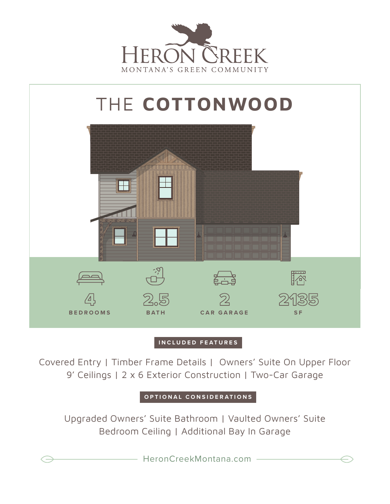



## **INCLUDED FEATURES**

Covered Entry | Timber Frame Details | Owners' Suite On Upper Floor 9' Ceilings | 2 x 6 Exterior Construction | Two-Car Garage

**OPTIONAL CONSIDERATIONS**

Upgraded Owners' Suite Bathroom | Vaulted Owners' Suite Bedroom Ceiling | Additional Bay In Garage

HeronCreekMontana.com